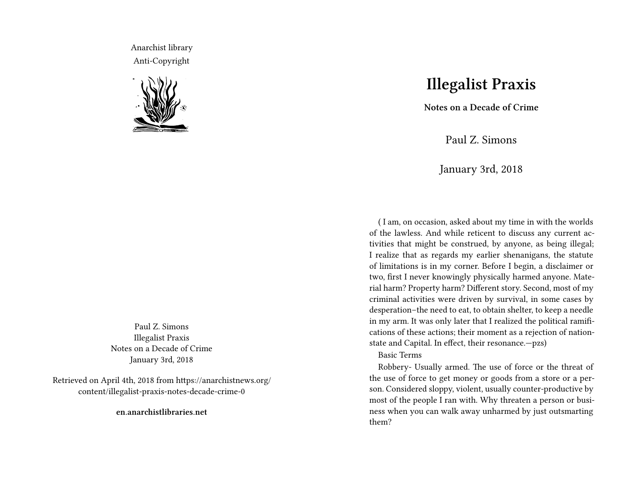Anarchist library Anti-Copyright



Paul Z. Simons Illegalist Praxis Notes on a Decade of Crime January 3rd, 2018

Retrieved on April 4th, 2018 from https://anarchistnews.org/ content/illegalist-praxis-notes-decade-crime-0

**en.anarchistlibraries.net**

## **Illegalist Praxis**

**Notes on a Decade of Crime**

Paul Z. Simons

January 3rd, 2018

( I am, on occasion, asked about my time in with the worlds of the lawless. And while reticent to discuss any current activities that might be construed, by anyone, as being illegal; I realize that as regards my earlier shenanigans, the statute of limitations is in my corner. Before I begin, a disclaimer or two, first I never knowingly physically harmed anyone. Material harm? Property harm? Different story. Second, most of my criminal activities were driven by survival, in some cases by desperation–the need to eat, to obtain shelter, to keep a needle in my arm. It was only later that I realized the political ramifications of these actions; their moment as a rejection of nationstate and Capital. In effect, their resonance.—pzs)

## Basic Terms

Robbery- Usually armed. The use of force or the threat of the use of force to get money or goods from a store or a person. Considered sloppy, violent, usually counter-productive by most of the people I ran with. Why threaten a person or business when you can walk away unharmed by just outsmarting them?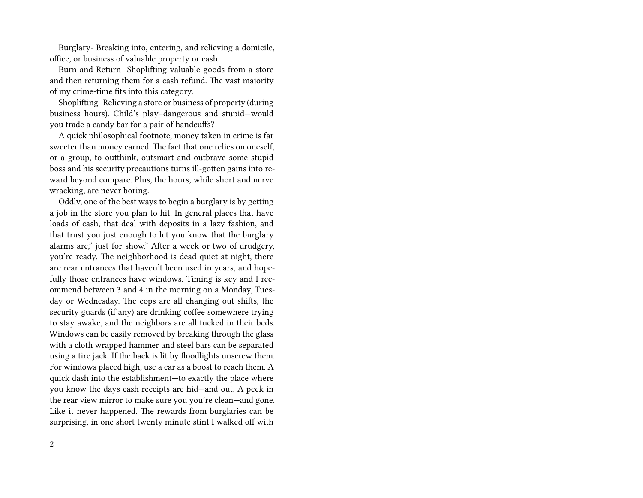Burglary- Breaking into, entering, and relieving a domicile, office, or business of valuable property or cash.

Burn and Return- Shoplifting valuable goods from a store and then returning them for a cash refund. The vast majority of my crime-time fits into this category.

Shoplifting- Relieving a store or business of property (during business hours). Child's play–dangerous and stupid—would you trade a candy bar for a pair of handcuffs?

A quick philosophical footnote, money taken in crime is far sweeter than money earned. The fact that one relies on oneself, or a group, to outthink, outsmart and outbrave some stupid boss and his security precautions turns ill-gotten gains into reward beyond compare. Plus, the hours, while short and nerve wracking, are never boring.

Oddly, one of the best ways to begin a burglary is by getting a job in the store you plan to hit. In general places that have loads of cash, that deal with deposits in a lazy fashion, and that trust you just enough to let you know that the burglary alarms are," just for show." After a week or two of drudgery, you're ready. The neighborhood is dead quiet at night, there are rear entrances that haven't been used in years, and hopefully those entrances have windows. Timing is key and I recommend between 3 and 4 in the morning on a Monday, Tuesday or Wednesday. The cops are all changing out shifts, the security guards (if any) are drinking coffee somewhere trying to stay awake, and the neighbors are all tucked in their beds. Windows can be easily removed by breaking through the glass with a cloth wrapped hammer and steel bars can be separated using a tire jack. If the back is lit by floodlights unscrew them. For windows placed high, use a car as a boost to reach them. A quick dash into the establishment—to exactly the place where you know the days cash receipts are hid—and out. A peek in the rear view mirror to make sure you you're clean—and gone. Like it never happened. The rewards from burglaries can be surprising, in one short twenty minute stint I walked off with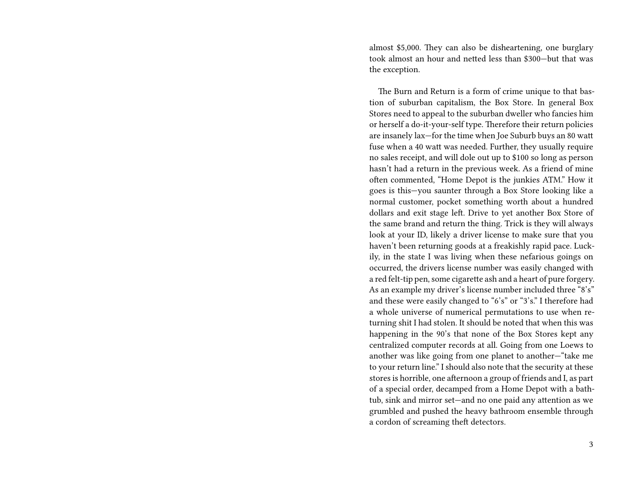almost \$5,000. They can also be disheartening, one burglary took almost an hour and netted less than \$300—but that was the exception.

The Burn and Return is a form of crime unique to that bastion of suburban capitalism, the Box Store. In general Box Stores need to appeal to the suburban dweller who fancies him or herself a do-it-your-self type. Therefore their return policies are insanely lax—for the time when Joe Suburb buys an 80 watt fuse when a 40 watt was needed. Further, they usually require no sales receipt, and will dole out up to \$100 so long as person hasn't had a return in the previous week. As a friend of mine often commented, "Home Depot is the junkies ATM." How it goes is this—you saunter through a Box Store looking like a normal customer, pocket something worth about a hundred dollars and exit stage left. Drive to yet another Box Store of the same brand and return the thing. Trick is they will always look at your ID, likely a driver license to make sure that you haven't been returning goods at a freakishly rapid pace. Luckily, in the state I was living when these nefarious goings on occurred, the drivers license number was easily changed with a red felt-tip pen, some cigarette ash and a heart of pure forgery. As an example my driver's license number included three "8's" and these were easily changed to "6's" or "3's." I therefore had a whole universe of numerical permutations to use when returning shit I had stolen. It should be noted that when this was happening in the 90's that none of the Box Stores kept any centralized computer records at all. Going from one Loews to another was like going from one planet to another—"take me to your return line." I should also note that the security at these stores is horrible, one afternoon a group of friends and I, as part of a special order, decamped from a Home Depot with a bathtub, sink and mirror set—and no one paid any attention as we grumbled and pushed the heavy bathroom ensemble through a cordon of screaming theft detectors.